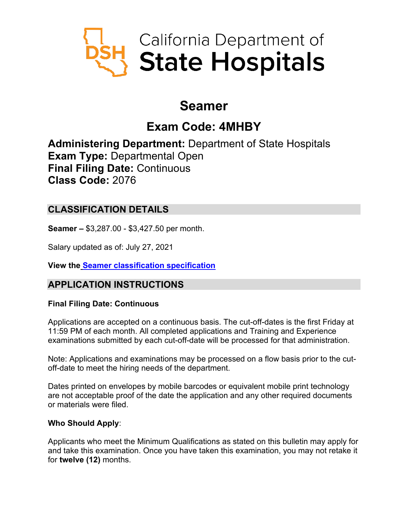

# **Seamer**

# **Exam Code: 4MHBY**

**Administering Department:** Department of State Hospitals **Exam Type:** Departmental Open **Final Filing Date:** Continuous **Class Code:** 2076

# **CLASSIFICATION DETAILS**

**Seamer –** \$3,287.00 - \$3,427.50 per month.

Salary updated as of: July 27, 2021

**View the [Seamer classification specification](https://www.calhr.ca.gov/state-hr-professionals/pages/2076.aspx)**

# **APPLICATION INSTRUCTIONS**

## **Final Filing Date: Continuous**

Applications are accepted on a continuous basis. The cut-off-dates is the first Friday at 11:59 PM of each month. All completed applications and Training and Experience examinations submitted by each cut-off-date will be processed for that administration.

Note: Applications and examinations may be processed on a flow basis prior to the cutoff-date to meet the hiring needs of the department.

Dates printed on envelopes by mobile barcodes or equivalent mobile print technology are not acceptable proof of the date the application and any other required documents or materials were filed.

## **Who Should Apply**:

Applicants who meet the Minimum Qualifications as stated on this bulletin may apply for and take this examination. Once you have taken this examination, you may not retake it for **twelve (12)** months.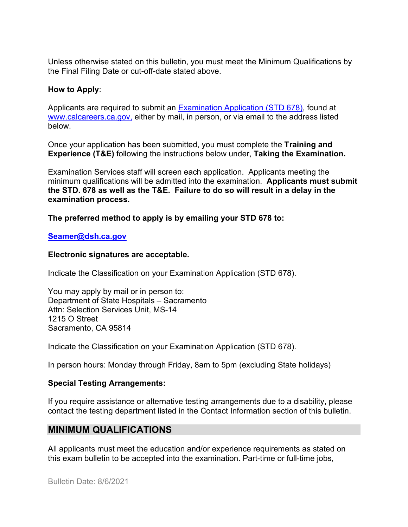Unless otherwise stated on this bulletin, you must meet the Minimum Qualifications by the Final Filing Date or cut-off-date stated above.

#### **How to Apply**:

Applicants are required to submit an [Examination Application \(STD 678\),](https://jobs.ca.gov/pdf/std678.pdf) found at [www.calcareers.ca.gov,](http://www.calcareers.ca.gov/) either by mail, in person, or via email to the address listed below.

Once your application has been submitted, you must complete the **Training and Experience (T&E)** following the instructions below under, **Taking the Examination.**

Examination Services staff will screen each application. Applicants meeting the minimum qualifications will be admitted into the examination. **Applicants must submit the STD. 678 as well as the T&E. Failure to do so will result in a delay in the examination process.**

**The preferred method to apply is by emailing your STD 678 to:**

#### **[Seamer@dsh.ca.gov](mailto:Seamer@dsh.ca.gov)**

#### **Electronic signatures are acceptable.**

Indicate the Classification on your Examination Application (STD 678).

You may apply by mail or in person to: Department of State Hospitals – Sacramento Attn: Selection Services Unit, MS-14 1215 O Street Sacramento, CA 95814

Indicate the Classification on your Examination Application (STD 678).

In person hours: Monday through Friday, 8am to 5pm (excluding State holidays)

## **Special Testing Arrangements:**

If you require assistance or alternative testing arrangements due to a disability, please contact the testing department listed in the Contact Information section of this bulletin.

## **MINIMUM QUALIFICATIONS**

All applicants must meet the education and/or experience requirements as stated on this exam bulletin to be accepted into the examination. Part-time or full-time jobs,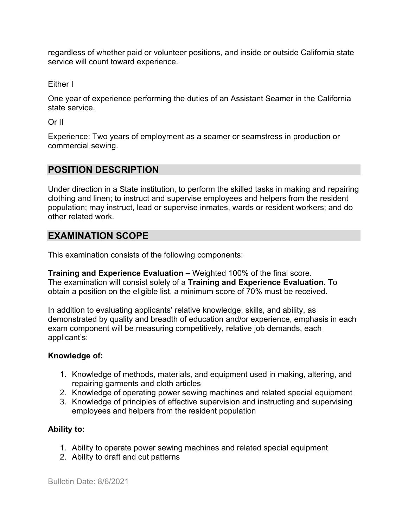regardless of whether paid or volunteer positions, and inside or outside California state service will count toward experience.

Either I

One year of experience performing the duties of an Assistant Seamer in the California state service.

Or II

Experience: Two years of employment as a seamer or seamstress in production or commercial sewing.

# **POSITION DESCRIPTION**

Under direction in a State institution, to perform the skilled tasks in making and repairing clothing and linen; to instruct and supervise employees and helpers from the resident population; may instruct, lead or supervise inmates, wards or resident workers; and do other related work.

## **EXAMINATION SCOPE**

This examination consists of the following components:

**Training and Experience Evaluation –** Weighted 100% of the final score. The examination will consist solely of a **Training and Experience Evaluation.** To obtain a position on the eligible list, a minimum score of 70% must be received.

In addition to evaluating applicants' relative knowledge, skills, and ability, as demonstrated by quality and breadth of education and/or experience, emphasis in each exam component will be measuring competitively, relative job demands, each applicant's:

## **Knowledge of:**

- 1. Knowledge of methods, materials, and equipment used in making, altering, and repairing garments and cloth articles
- 2. Knowledge of operating power sewing machines and related special equipment
- 3. Knowledge of principles of effective supervision and instructing and supervising employees and helpers from the resident population

## **Ability to:**

- 1. Ability to operate power sewing machines and related special equipment
- 2. Ability to draft and cut patterns

Bulletin Date: 8/6/2021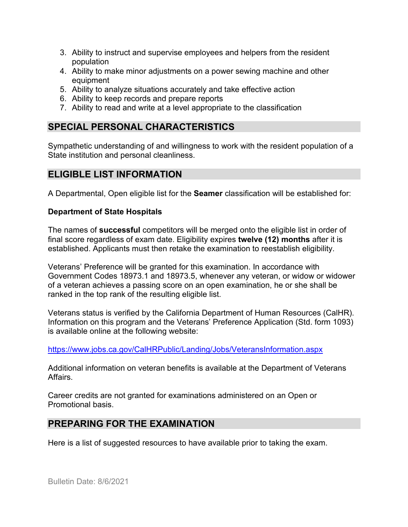- 3. Ability to instruct and supervise employees and helpers from the resident population
- 4. Ability to make minor adjustments on a power sewing machine and other equipment
- 5. Ability to analyze situations accurately and take effective action
- 6. Ability to keep records and prepare reports
- 7. Ability to read and write at a level appropriate to the classification

# **SPECIAL PERSONAL CHARACTERISTICS**

Sympathetic understanding of and willingness to work with the resident population of a State institution and personal cleanliness.

## **ELIGIBLE LIST INFORMATION**

A Departmental, Open eligible list for the **Seamer** classification will be established for:

#### **Department of State Hospitals**

The names of **successful** competitors will be merged onto the eligible list in order of final score regardless of exam date. Eligibility expires **twelve (12) months** after it is established. Applicants must then retake the examination to reestablish eligibility.

Veterans' Preference will be granted for this examination. In accordance with Government Codes 18973.1 and 18973.5, whenever any veteran, or widow or widower of a veteran achieves a passing score on an open examination, he or she shall be ranked in the top rank of the resulting eligible list.

Veterans status is verified by the California Department of Human Resources (CalHR). Information on this program and the Veterans' Preference Application (Std. form 1093) is available online at the following website:

<https://www.jobs.ca.gov/CalHRPublic/Landing/Jobs/VeteransInformation.aspx>

Additional information on veteran benefits is available at the Department of Veterans Affairs.

Career credits are not granted for examinations administered on an Open or Promotional basis.

## **PREPARING FOR THE EXAMINATION**

Here is a list of suggested resources to have available prior to taking the exam.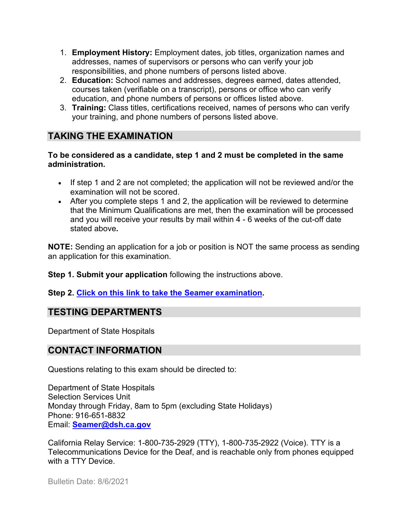- 1. **Employment History:** Employment dates, job titles, organization names and addresses, names of supervisors or persons who can verify your job responsibilities, and phone numbers of persons listed above.
- 2. **Education:** School names and addresses, degrees earned, dates attended, courses taken (verifiable on a transcript), persons or office who can verify education, and phone numbers of persons or offices listed above.
- 3. **Training:** Class titles, certifications received, names of persons who can verify your training, and phone numbers of persons listed above.

# **TAKING THE EXAMINATION**

#### **To be considered as a candidate, step 1 and 2 must be completed in the same administration.**

- If step 1 and 2 are not completed; the application will not be reviewed and/or the examination will not be scored.
- After you complete steps 1 and 2, the application will be reviewed to determine that the Minimum Qualifications are met, then the examination will be processed and you will receive your results by mail within 4 - 6 weeks of the cut-off date stated above**.**

**NOTE:** Sending an application for a job or position is NOT the same process as sending an application for this examination.

**Step 1. Submit your application** following the instructions above.

## **Step 2. [Click on this link to take the Seamer](https://www.surveymonkey.com/r/WVPTXNL) examination.**

# **TESTING DEPARTMENTS**

Department of State Hospitals

## **CONTACT INFORMATION**

Questions relating to this exam should be directed to:

Department of State Hospitals Selection Services Unit Monday through Friday, 8am to 5pm (excluding State Holidays) Phone: 916-651-8832 Email: **[Seamer@dsh.ca.gov](mailto:Seamer@dsh.ca.gov)**

California Relay Service: 1-800-735-2929 (TTY), 1-800-735-2922 (Voice). TTY is a Telecommunications Device for the Deaf, and is reachable only from phones equipped with a TTY Device.

Bulletin Date: 8/6/2021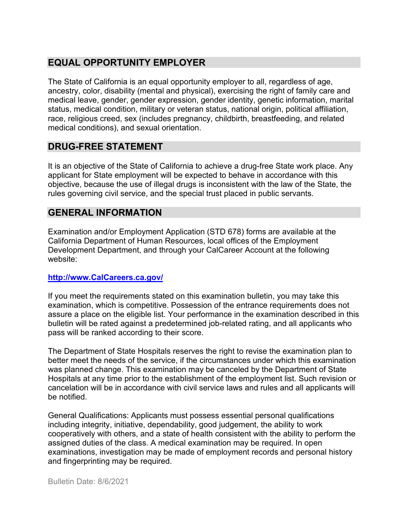# **EQUAL OPPORTUNITY EMPLOYER**

The State of California is an equal opportunity employer to all, regardless of age, ancestry, color, disability (mental and physical), exercising the right of family care and medical leave, gender, gender expression, gender identity, genetic information, marital status, medical condition, military or veteran status, national origin, political affiliation, race, religious creed, sex (includes pregnancy, childbirth, breastfeeding, and related medical conditions), and sexual orientation.

## **DRUG-FREE STATEMENT**

It is an objective of the State of California to achieve a drug-free State work place. Any applicant for State employment will be expected to behave in accordance with this objective, because the use of illegal drugs is inconsistent with the law of the State, the rules governing civil service, and the special trust placed in public servants.

## **GENERAL INFORMATION**

Examination and/or Employment Application (STD 678) forms are available at the California Department of Human Resources, local offices of the Employment Development Department, and through your CalCareer Account at the following website:

#### **http://www.CalCareers.ca.gov/**

If you meet the requirements stated on this examination bulletin, you may take this examination, which is competitive. Possession of the entrance requirements does not assure a place on the eligible list. Your performance in the examination described in this bulletin will be rated against a predetermined job-related rating, and all applicants who pass will be ranked according to their score.

The Department of State Hospitals reserves the right to revise the examination plan to better meet the needs of the service, if the circumstances under which this examination was planned change. This examination may be canceled by the Department of State Hospitals at any time prior to the establishment of the employment list. Such revision or cancelation will be in accordance with civil service laws and rules and all applicants will be notified.

General Qualifications: Applicants must possess essential personal qualifications including integrity, initiative, dependability, good judgement, the ability to work cooperatively with others, and a state of health consistent with the ability to perform the assigned duties of the class. A medical examination may be required. In open examinations, investigation may be made of employment records and personal history and fingerprinting may be required.